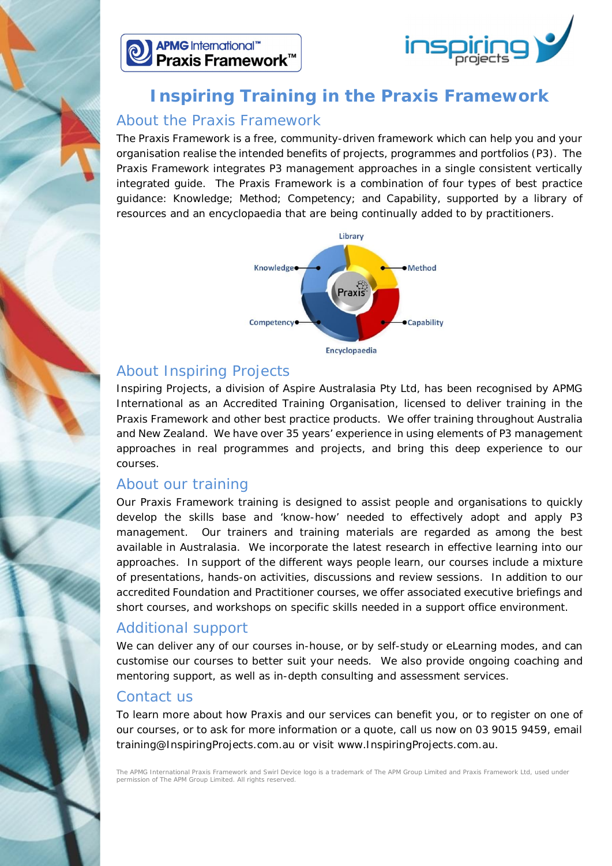



## **Inspiring Training in the Praxis Framework**

#### About the Praxis Framework

The Praxis Framework is a free, community-driven framework which can help you and your organisation realise the intended benefits of projects, programmes and portfolios (P3). The Praxis Framework integrates P3 management approaches in a single consistent vertically integrated guide. The Praxis Framework is a combination of four types of best practice guidance: Knowledge; Method; Competency; and Capability, supported by a library of resources and an encyclopaedia that are being continually added to by practitioners.



### About Inspiring Projects

Inspiring Projects, a division of Aspire Australasia Pty Ltd, has been recognised by APMG International as an Accredited Training Organisation, licensed to deliver training in the Praxis Framework and other best practice products. We offer training throughout Australia and New Zealand. We have over 35 years' experience in using elements of P3 management approaches in real programmes and projects, and bring this deep experience to our courses.

#### About our training

Our Praxis Framework training is designed to assist people and organisations to quickly develop the skills base and 'know-how' needed to effectively adopt and apply P3 management. Our trainers and training materials are regarded as among the best available in Australasia. We incorporate the latest research in effective learning into our approaches. In support of the different ways people learn, our courses include a mixture of presentations, hands-on activities, discussions and review sessions. In addition to our accredited Foundation and Practitioner courses, we offer associated executive briefings and short courses, and workshops on specific skills needed in a support office environment.

## Additional support

We can deliver any of our courses in-house, or by self-study or eLearning modes, and can customise our courses to better suit your needs. We also provide ongoing coaching and mentoring support, as well as in-depth consulting and assessment services.

#### Contact us

To learn more about how Praxis and our services can benefit you, or to register on one of our courses, or to ask for more information or a quote, call us now on 03 9015 9459, email training@InspiringProjects.com.au or visit www.InspiringProjects.com.au.

The APMG International Praxis Framework and Swirl Device logo is a trademark of The APM Group Limited and Praxis Framework Ltd, used under permission of The APM Group Limited. All rights reserved.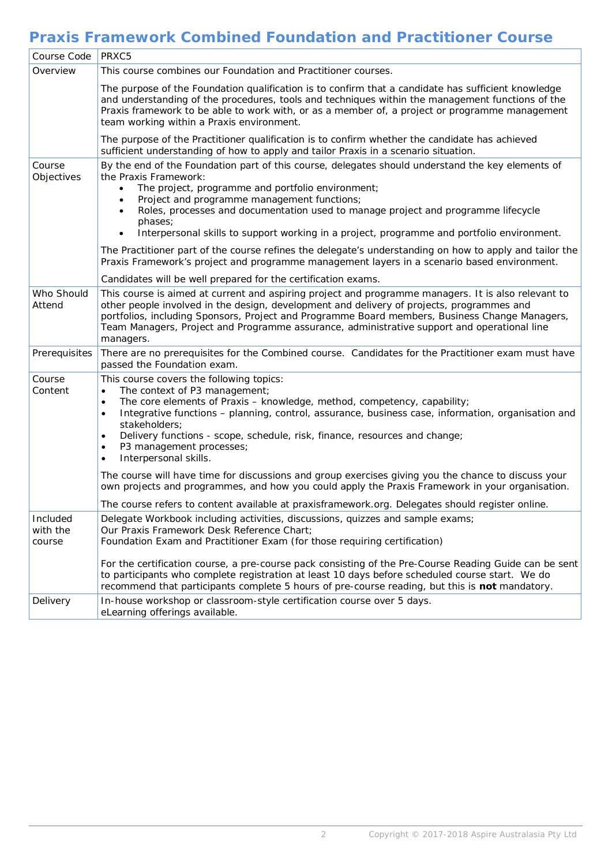## **Praxis Framework Combined Foundation and Practitioner Course**

| Course Code                    | PRXC5                                                                                                                                                                                                                                                                                                                                                                                                                                                                                         |
|--------------------------------|-----------------------------------------------------------------------------------------------------------------------------------------------------------------------------------------------------------------------------------------------------------------------------------------------------------------------------------------------------------------------------------------------------------------------------------------------------------------------------------------------|
| Overview                       | This course combines our Foundation and Practitioner courses.                                                                                                                                                                                                                                                                                                                                                                                                                                 |
|                                | The purpose of the Foundation qualification is to confirm that a candidate has sufficient knowledge<br>and understanding of the procedures, tools and techniques within the management functions of the<br>Praxis framework to be able to work with, or as a member of, a project or programme management<br>team working within a Praxis environment.                                                                                                                                        |
|                                | The purpose of the Practitioner qualification is to confirm whether the candidate has achieved<br>sufficient understanding of how to apply and tailor Praxis in a scenario situation.                                                                                                                                                                                                                                                                                                         |
| Course<br>Objectives           | By the end of the Foundation part of this course, delegates should understand the key elements of<br>the Praxis Framework:<br>The project, programme and portfolio environment;<br>Project and programme management functions;<br>Roles, processes and documentation used to manage project and programme lifecycle<br>phases;                                                                                                                                                                |
|                                | Interpersonal skills to support working in a project, programme and portfolio environment.                                                                                                                                                                                                                                                                                                                                                                                                    |
|                                | The Practitioner part of the course refines the delegate's understanding on how to apply and tailor the<br>Praxis Framework's project and programme management layers in a scenario based environment.                                                                                                                                                                                                                                                                                        |
|                                | Candidates will be well prepared for the certification exams.                                                                                                                                                                                                                                                                                                                                                                                                                                 |
| Who Should<br>Attend           | This course is aimed at current and aspiring project and programme managers. It is also relevant to<br>other people involved in the design, development and delivery of projects, programmes and<br>portfolios, including Sponsors, Project and Programme Board members, Business Change Managers,<br>Team Managers, Project and Programme assurance, administrative support and operational line<br>managers.                                                                                |
| Prerequisites                  | There are no prerequisites for the Combined course. Candidates for the Practitioner exam must have<br>passed the Foundation exam.                                                                                                                                                                                                                                                                                                                                                             |
| Course<br>Content              | This course covers the following topics:<br>The context of P3 management;<br>$\bullet$<br>The core elements of Praxis - knowledge, method, competency, capability;<br>$\bullet$<br>Integrative functions - planning, control, assurance, business case, information, organisation and<br>$\bullet$<br>stakeholders;<br>Delivery functions - scope, schedule, risk, finance, resources and change;<br>$\bullet$<br>P3 management processes;<br>$\bullet$<br>Interpersonal skills.<br>$\bullet$ |
|                                | The course will have time for discussions and group exercises giving you the chance to discuss your<br>own projects and programmes, and how you could apply the Praxis Framework in your organisation.                                                                                                                                                                                                                                                                                        |
|                                | The course refers to content available at praxisframework.org. Delegates should register online.                                                                                                                                                                                                                                                                                                                                                                                              |
| Included<br>with the<br>course | Delegate Workbook including activities, discussions, quizzes and sample exams;<br>Our Praxis Framework Desk Reference Chart;<br>Foundation Exam and Practitioner Exam (for those requiring certification)                                                                                                                                                                                                                                                                                     |
|                                | For the certification course, a pre-course pack consisting of the Pre-Course Reading Guide can be sent<br>to participants who complete registration at least 10 days before scheduled course start. We do<br>recommend that participants complete 5 hours of pre-course reading, but this is not mandatory.                                                                                                                                                                                   |
| Delivery                       | In-house workshop or classroom-style certification course over 5 days.<br>eLearning offerings available.                                                                                                                                                                                                                                                                                                                                                                                      |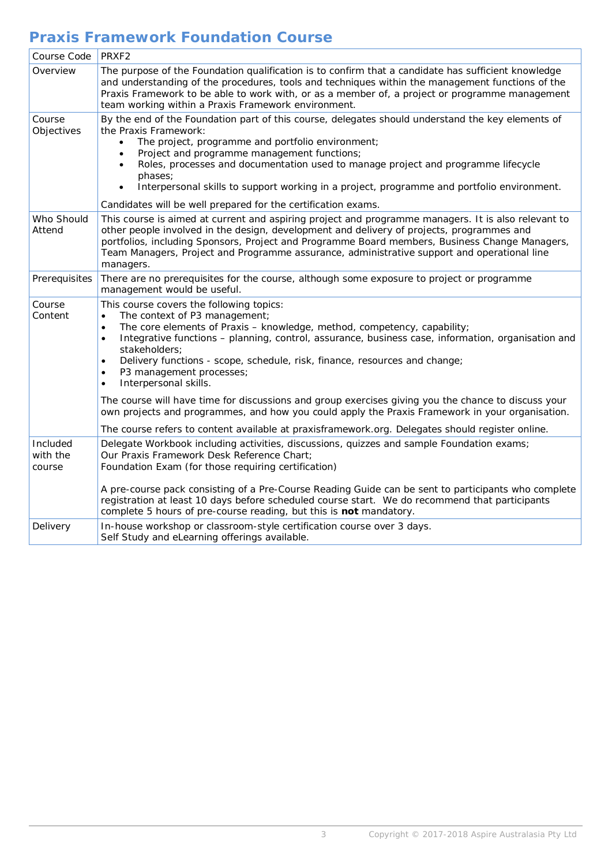# **Praxis Framework Foundation Course**

| Course Code                    | PRXF <sub>2</sub>                                                                                                                                                                                                                                                                                                                                                                                                                                                                                                                                                                                                                                                                                       |
|--------------------------------|---------------------------------------------------------------------------------------------------------------------------------------------------------------------------------------------------------------------------------------------------------------------------------------------------------------------------------------------------------------------------------------------------------------------------------------------------------------------------------------------------------------------------------------------------------------------------------------------------------------------------------------------------------------------------------------------------------|
| Overview                       | The purpose of the Foundation qualification is to confirm that a candidate has sufficient knowledge<br>and understanding of the procedures, tools and techniques within the management functions of the<br>Praxis Framework to be able to work with, or as a member of, a project or programme management<br>team working within a Praxis Framework environment.                                                                                                                                                                                                                                                                                                                                        |
| Course<br>Objectives           | By the end of the Foundation part of this course, delegates should understand the key elements of<br>the Praxis Framework:<br>The project, programme and portfolio environment;<br>Project and programme management functions;<br>$\bullet$<br>Roles, processes and documentation used to manage project and programme lifecycle<br>phases;<br>Interpersonal skills to support working in a project, programme and portfolio environment.<br>$\bullet$<br>Candidates will be well prepared for the certification exams.                                                                                                                                                                                 |
| Who Should<br>Attend           | This course is aimed at current and aspiring project and programme managers. It is also relevant to<br>other people involved in the design, development and delivery of projects, programmes and<br>portfolios, including Sponsors, Project and Programme Board members, Business Change Managers,<br>Team Managers, Project and Programme assurance, administrative support and operational line<br>managers.                                                                                                                                                                                                                                                                                          |
| Prerequisites                  | There are no prerequisites for the course, although some exposure to project or programme<br>management would be useful.                                                                                                                                                                                                                                                                                                                                                                                                                                                                                                                                                                                |
| Course<br>Content              | This course covers the following topics:<br>The context of P3 management;<br>$\bullet$<br>The core elements of Praxis - knowledge, method, competency, capability;<br>$\bullet$<br>Integrative functions – planning, control, assurance, business case, information, organisation and<br>$\bullet$<br>stakeholders;<br>Delivery functions - scope, schedule, risk, finance, resources and change;<br>$\bullet$<br>P3 management processes;<br>$\bullet$<br>Interpersonal skills.<br>$\bullet$<br>The course will have time for discussions and group exercises giving you the chance to discuss your<br>own projects and programmes, and how you could apply the Praxis Framework in your organisation. |
|                                | The course refers to content available at praxisframework.org. Delegates should register online.                                                                                                                                                                                                                                                                                                                                                                                                                                                                                                                                                                                                        |
| Included<br>with the<br>course | Delegate Workbook including activities, discussions, quizzes and sample Foundation exams;<br>Our Praxis Framework Desk Reference Chart;<br>Foundation Exam (for those requiring certification)<br>A pre-course pack consisting of a Pre-Course Reading Guide can be sent to participants who complete<br>registration at least 10 days before scheduled course start. We do recommend that participants<br>complete 5 hours of pre-course reading, but this is not mandatory.                                                                                                                                                                                                                           |
| Delivery                       | In-house workshop or classroom-style certification course over 3 days.<br>Self Study and eLearning offerings available.                                                                                                                                                                                                                                                                                                                                                                                                                                                                                                                                                                                 |